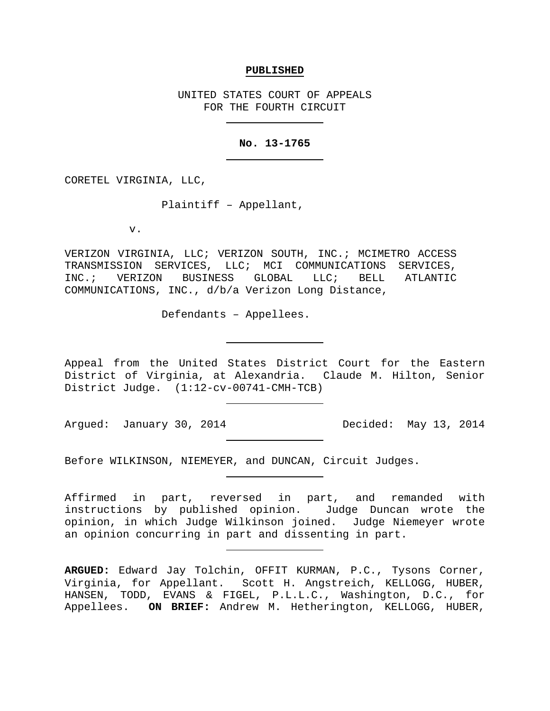#### **PUBLISHED**

UNITED STATES COURT OF APPEALS FOR THE FOURTH CIRCUIT

## **No. 13-1765**

CORETEL VIRGINIA, LLC,

Plaintiff – Appellant,

v.

VERIZON VIRGINIA, LLC; VERIZON SOUTH, INC.; MCIMETRO ACCESS TRANSMISSION SERVICES, LLC; MCI COMMUNICATIONS SERVICES,<br>INC.; VERIZON BUSINESS GLOBAL LLC; BELL ATLANTIC INC.; VERIZON BUSINESS GLOBAL LLC; BELL COMMUNICATIONS, INC., d/b/a Verizon Long Distance,

Defendants – Appellees.

Appeal from the United States District Court for the Eastern District of Virginia, at Alexandria. Claude M. Hilton, Senior District Judge. (1:12-cv-00741-CMH-TCB)

Argued: January 30, 2014 Decided: May 13, 2014

Before WILKINSON, NIEMEYER, and DUNCAN, Circuit Judges.

Affirmed in part, reversed in part, and remanded with instructions by published opinion. Judge Duncan wrote the opinion, in which Judge Wilkinson joined. Judge Niemeyer wrote an opinion concurring in part and dissenting in part.

**ARGUED:** Edward Jay Tolchin, OFFIT KURMAN, P.C., Tysons Corner, Virginia, for Appellant. Scott H. Angstreich, KELLOGG, HUBER, HANSEN, TODD, EVANS & FIGEL, P.L.L.C., Washington, D.C., for Appellees. **ON BRIEF:** Andrew M. Hetherington, KELLOGG, HUBER,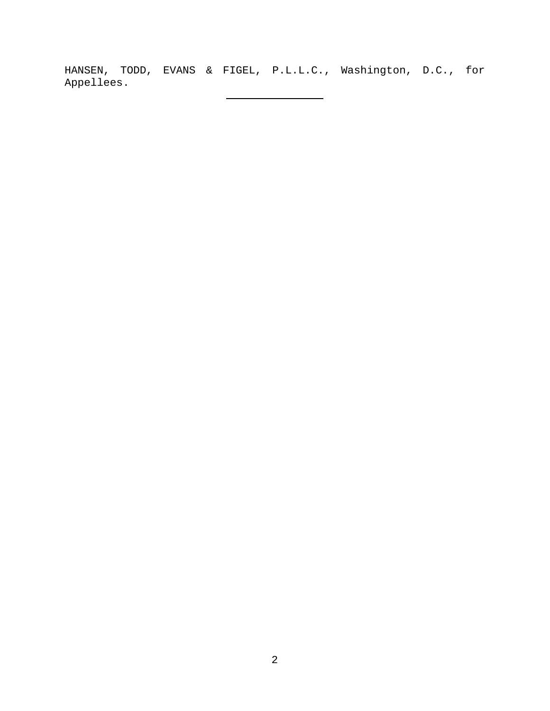HANSEN, TODD, EVANS & FIGEL, P.L.L.C., Washington, D.C., for Appellees.

 $\overline{\phantom{0}}$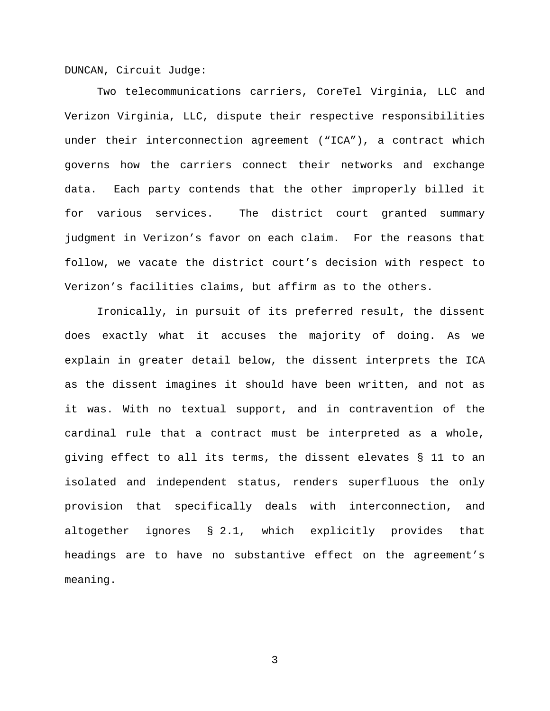DUNCAN, Circuit Judge:

Two telecommunications carriers, CoreTel Virginia, LLC and Verizon Virginia, LLC, dispute their respective responsibilities under their interconnection agreement ("ICA"), a contract which governs how the carriers connect their networks and exchange data. Each party contends that the other improperly billed it for various services. The district court granted summary judgment in Verizon's favor on each claim. For the reasons that follow, we vacate the district court's decision with respect to Verizon's facilities claims, but affirm as to the others.

Ironically, in pursuit of its preferred result, the dissent does exactly what it accuses the majority of doing. As we explain in greater detail below, the dissent interprets the ICA as the dissent imagines it should have been written, and not as it was. With no textual support, and in contravention of the cardinal rule that a contract must be interpreted as a whole, giving effect to all its terms, the dissent elevates § 11 to an isolated and independent status, renders superfluous the only provision that specifically deals with interconnection, and altogether ignores § 2.1, which explicitly provides that headings are to have no substantive effect on the agreement's meaning.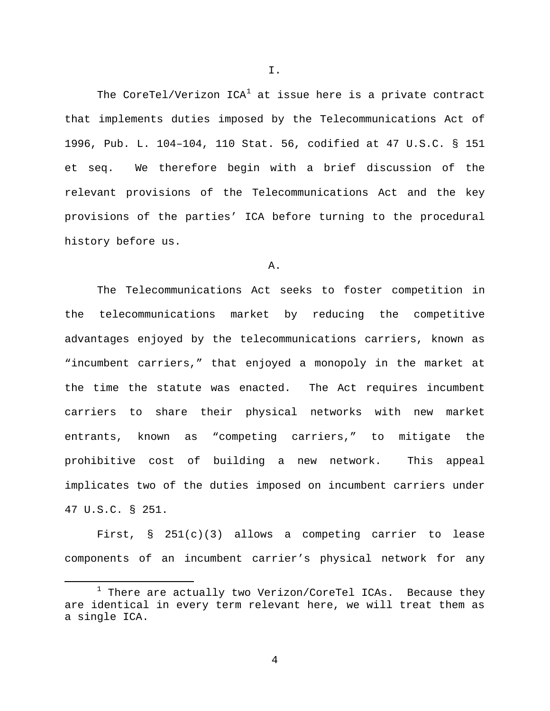The CoreTel/Verizon  $ICA^1$  $ICA^1$  at issue here is a private contract that implements duties imposed by the Telecommunications Act of 1996, Pub. L. 104–104, 110 Stat. 56, codified at 47 U.S.C. § 151 et seq. We therefore begin with a brief discussion of the relevant provisions of the Telecommunications Act and the key provisions of the parties' ICA before turning to the procedural history before us.

## A.

The Telecommunications Act seeks to foster competition in the telecommunications market by reducing the competitive advantages enjoyed by the telecommunications carriers, known as "incumbent carriers," that enjoyed a monopoly in the market at the time the statute was enacted. The Act requires incumbent carriers to share their physical networks with new market entrants, known as "competing carriers," to mitigate the prohibitive cost of building a new network. This appeal implicates two of the duties imposed on incumbent carriers under 47 U.S.C. § 251.

First, § 251(c)(3) allows a competing carrier to lease components of an incumbent carrier's physical network for any

 $\overline{a}$ 

4

I.

<span id="page-3-0"></span> $1$  There are actually two Verizon/CoreTel ICAs. Because they are identical in every term relevant here, we will treat them as a single ICA.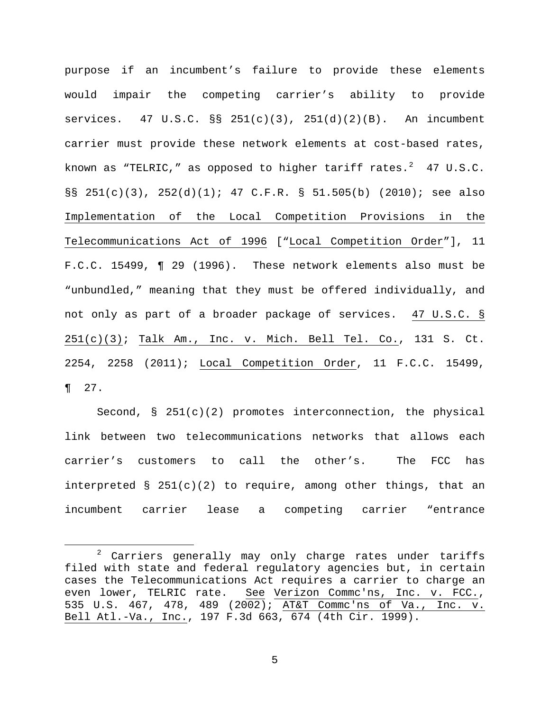purpose if an incumbent's failure to provide these elements would impair the competing carrier's ability to provide services.  $47 \text{ U.S.C. }$   $\S$   $251(c)(3)$ ,  $251(d)(2)(B)$ . An incumbent carrier must provide these network elements at cost-based rates, known as "TELRIC," as opposed to higher tariff rates. $2$  47 U.S.C. §§ 251(c)(3), 252(d)(1); 47 C.F.R. § 51.505(b) (2010); see also Implementation of the Local Competition Provisions in the Telecommunications Act of 1996 ["Local Competition Order"], 11 F.C.C. 15499, ¶ 29 (1996). These network elements also must be "unbundled," meaning that they must be offered individually, and not only as part of a broader package of services. 47 U.S.C. § 251(c)(3); Talk Am., Inc. v. Mich. Bell Tel. Co., 131 S. Ct. 2254, 2258 (2011); Local Competition Order, 11 F.C.C. 15499, ¶ 27.

Second,  $\S$  251(c)(2) promotes interconnection, the physical link between two telecommunications networks that allows each carrier's customers to call the other's. The FCC has interpreted §  $251(c)(2)$  to require, among other things, that an incumbent carrier lease a competing carrier "entrance

 $\overline{a}$ 

<span id="page-4-0"></span> $2$  Carriers generally may only charge rates under tariffs filed with state and federal regulatory agencies but, in certain cases the Telecommunications Act requires a carrier to charge an even lower, TELRIC rate. See Verizon Commc'ns, Inc. v. FCC., 535 U.S. 467, 478, 489 (2002); AT&T Commc'ns of Va., Inc. v. Bell Atl.-Va., Inc., 197 F.3d 663, 674 (4th Cir. 1999).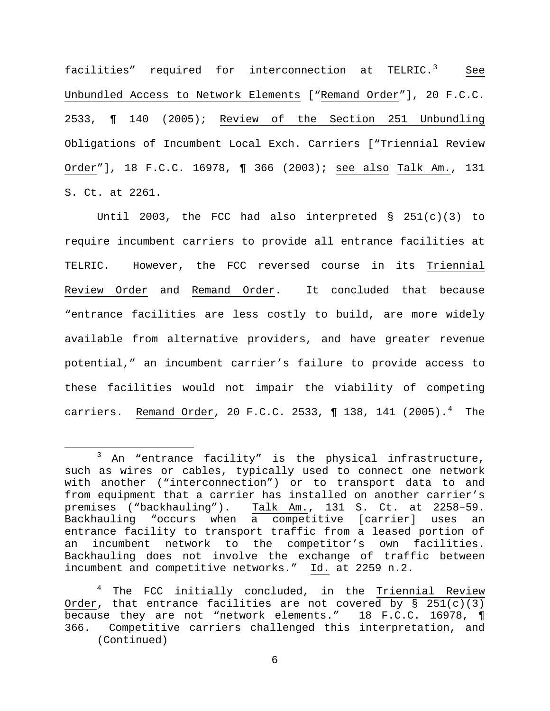facilities" required for interconnection at TELRIC.<sup>[3](#page-5-0)</sup> See Unbundled Access to Network Elements ["Remand Order"], 20 F.C.C. 2533, ¶ 140 (2005); Review of the Section 251 Unbundling Obligations of Incumbent Local Exch. Carriers ["Triennial Review Order"], 18 F.C.C. 16978, ¶ 366 (2003); see also Talk Am., 131 S. Ct. at 2261.

Until 2003, the FCC had also interpreted  $\S$  251(c)(3) to require incumbent carriers to provide all entrance facilities at TELRIC. However, the FCC reversed course in its Triennial Review Order and Remand Order. It concluded that because "entrance facilities are less costly to build, are more widely available from alternative providers, and have greater revenue potential," an incumbent carrier's failure to provide access to these facilities would not impair the viability of competing carriers. <u>Remand Order</u>, 20 F.C.C. 2533, ¶ 138, 1[4](#page-5-1)1 (2005).<sup>4</sup> The

 $\overline{a}$ 

<span id="page-5-0"></span><sup>3</sup> An "entrance facility" is the physical infrastructure, such as wires or cables, typically used to connect one network with another ("interconnection") or to transport data to and from equipment that a carrier has installed on another carrier's<br>premises ("backhauling"). Talk Am., 131 S. Ct. at 2258-59. Talk Am., 131 S. Ct. at 2258-59. Backhauling "occurs when a competitive [carrier] uses an entrance facility to transport traffic from a leased portion of an incumbent network to the competitor's own facilities. Backhauling does not involve the exchange of traffic between incumbent and competitive networks." Id. at 2259 n.2.

<span id="page-5-1"></span> $4$  The FCC initially concluded, in the Triennial Review Order, that entrance facilities are not covered by § 251(c)(3) because they are not "network elements." 18 F.C.C. 16978, ¶ 366. Competitive carriers challenged this interpretation, and (Continued)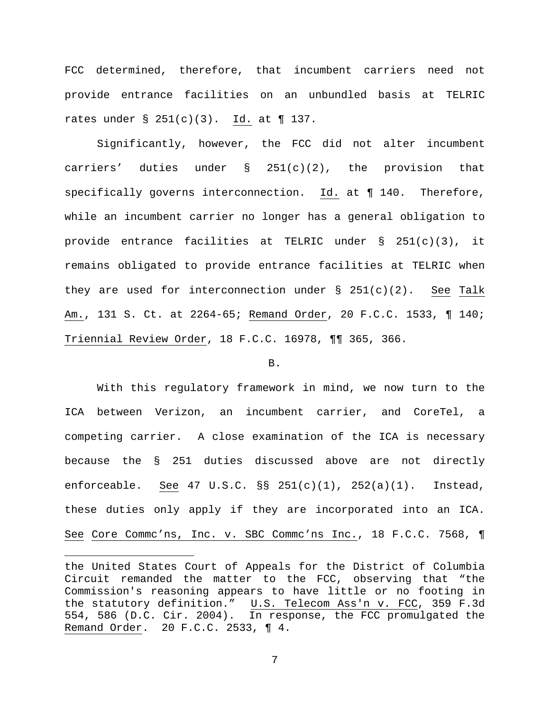FCC determined, therefore, that incumbent carriers need not provide entrance facilities on an unbundled basis at TELRIC rates under  $\S$  251(c)(3). Id. at  $\P$  137.

Significantly, however, the FCC did not alter incumbent carriers' duties under § 251(c)(2), the provision that specifically governs interconnection. Id. at ¶ 140. Therefore, while an incumbent carrier no longer has a general obligation to provide entrance facilities at TELRIC under § 251(c)(3), it remains obligated to provide entrance facilities at TELRIC when they are used for interconnection under  $\S$  251(c)(2). See Talk Am., 131 S. Ct. at 2264-65; Remand Order, 20 F.C.C. 1533, ¶ 140; Triennial Review Order, 18 F.C.C. 16978, ¶¶ 365, 366.

### B.

With this regulatory framework in mind, we now turn to the ICA between Verizon, an incumbent carrier, and CoreTel, a competing carrier. A close examination of the ICA is necessary because the § 251 duties discussed above are not directly enforceable. See 47 U.S.C. §§ 251(c)(1), 252(a)(1). Instead, these duties only apply if they are incorporated into an ICA. See Core Commc'ns, Inc. v. SBC Commc'ns Inc., 18 F.C.C. 7568, ¶

 $\overline{a}$ 

the United States Court of Appeals for the District of Columbia Circuit remanded the matter to the FCC, observing that "the Commission's reasoning appears to have little or no footing in the statutory definition." U.S. Telecom Ass'n v. FCC, 359 F.3d 554, 586 (D.C. Cir. 2004). In response, the FCC promulgated the Remand Order. 20 F.C.C. 2533, ¶ 4.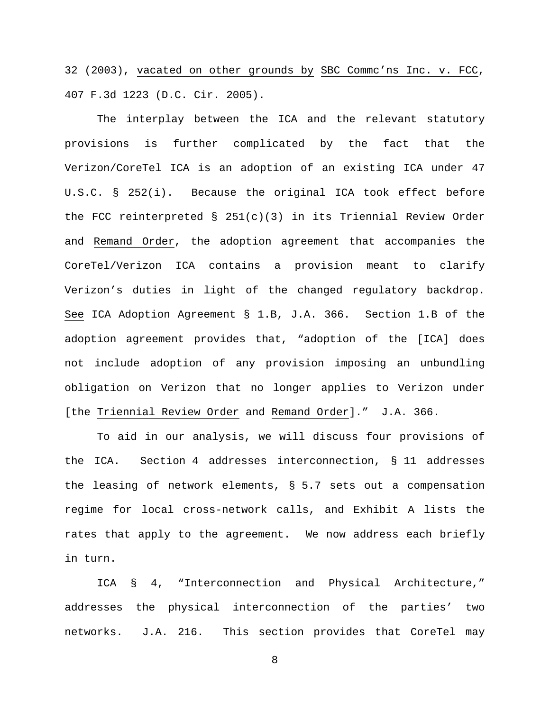32 (2003), vacated on other grounds by SBC Commc'ns Inc. v. FCC, 407 F.3d 1223 (D.C. Cir. 2005).

The interplay between the ICA and the relevant statutory provisions is further complicated by the fact that the Verizon/CoreTel ICA is an adoption of an existing ICA under 47 U.S.C. § 252(i). Because the original ICA took effect before the FCC reinterpreted § 251(c)(3) in its Triennial Review Order and Remand Order, the adoption agreement that accompanies the CoreTel/Verizon ICA contains a provision meant to clarify Verizon's duties in light of the changed regulatory backdrop. See ICA Adoption Agreement § 1.B, J.A. 366. Section 1.B of the adoption agreement provides that, "adoption of the [ICA] does not include adoption of any provision imposing an unbundling obligation on Verizon that no longer applies to Verizon under [the Triennial Review Order and Remand Order]." J.A. 366.

To aid in our analysis, we will discuss four provisions of the ICA. Section 4 addresses interconnection, § 11 addresses the leasing of network elements, § 5.7 sets out a compensation regime for local cross-network calls, and Exhibit A lists the rates that apply to the agreement. We now address each briefly in turn.

ICA § 4, "Interconnection and Physical Architecture," addresses the physical interconnection of the parties' two networks. J.A. 216. This section provides that CoreTel may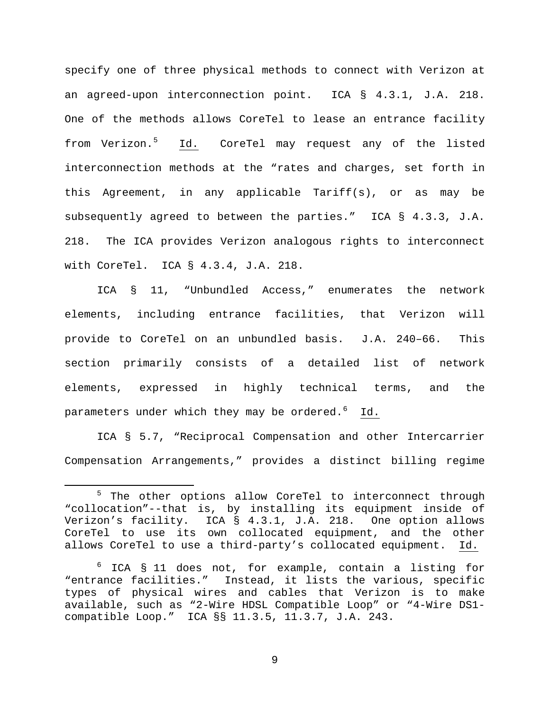specify one of three physical methods to connect with Verizon at an agreed-upon interconnection point. ICA § 4.3.1, J.A. 218. One of the methods allows CoreTel to lease an entrance facility from Verizon.<sup>[5](#page-8-0)</sup> Id. CoreTel may request any of the listed interconnection methods at the "rates and charges, set forth in this Agreement, in any applicable Tariff(s), or as may be subsequently agreed to between the parties." ICA § 4.3.3, J.A. 218. The ICA provides Verizon analogous rights to interconnect with CoreTel. ICA § 4.3.4, J.A. 218.

ICA § 11, "Unbundled Access," enumerates the network elements, including entrance facilities, that Verizon will provide to CoreTel on an unbundled basis. J.A. 240–66. This section primarily consists of a detailed list of network elements, expressed in highly technical terms, and the parameters under which they may be ordered.<sup>[6](#page-8-1)</sup> Id.

ICA § 5.7, "Reciprocal Compensation and other Intercarrier Compensation Arrangements," provides a distinct billing regime

 $\overline{a}$ 

<span id="page-8-0"></span><sup>&</sup>lt;sup>5</sup> The other options allow CoreTel to interconnect through "collocation"--that is, by installing its equipment inside of Verizon's facility. ICA § 4.3.1, J.A. 218. One option allows CoreTel to use its own collocated equipment, and the other allows CoreTel to use a third-party's collocated equipment. Id.

<span id="page-8-1"></span><sup>6</sup> ICA § 11 does not, for example, contain a listing for "entrance facilities." Instead, it lists the various, specific types of physical wires and cables that Verizon is to make available, such as "2-Wire HDSL Compatible Loop" or "4-Wire DS1 compatible Loop." ICA §§ 11.3.5, 11.3.7, J.A. 243.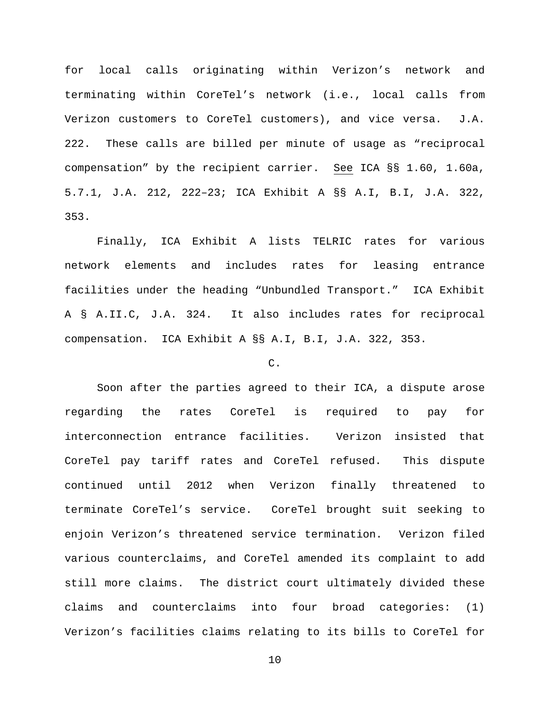for local calls originating within Verizon's network and terminating within CoreTel's network (i.e., local calls from Verizon customers to CoreTel customers), and vice versa. J.A. 222. These calls are billed per minute of usage as "reciprocal compensation" by the recipient carrier. See ICA §§ 1.60, 1.60a, 5.7.1, J.A. 212, 222–23; ICA Exhibit A §§ A.I, B.I, J.A. 322, 353.

Finally, ICA Exhibit A lists TELRIC rates for various network elements and includes rates for leasing entrance facilities under the heading "Unbundled Transport." ICA Exhibit A § A.II.C, J.A. 324. It also includes rates for reciprocal compensation. ICA Exhibit A §§ A.I, B.I, J.A. 322, 353.

# C.

Soon after the parties agreed to their ICA, a dispute arose regarding the rates CoreTel is required to pay for interconnection entrance facilities. Verizon insisted that CoreTel pay tariff rates and CoreTel refused. This dispute continued until 2012 when Verizon finally threatened to terminate CoreTel's service. CoreTel brought suit seeking to enjoin Verizon's threatened service termination. Verizon filed various counterclaims, and CoreTel amended its complaint to add still more claims. The district court ultimately divided these claims and counterclaims into four broad categories: (1) Verizon's facilities claims relating to its bills to CoreTel for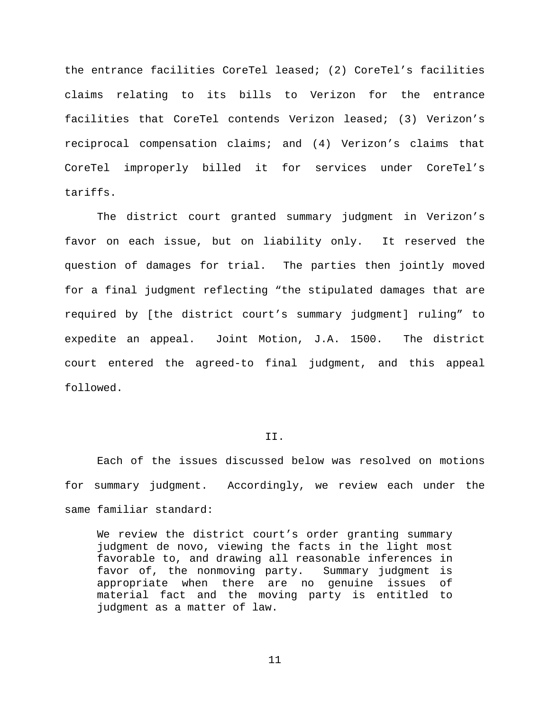the entrance facilities CoreTel leased; (2) CoreTel's facilities claims relating to its bills to Verizon for the entrance facilities that CoreTel contends Verizon leased; (3) Verizon's reciprocal compensation claims; and (4) Verizon's claims that CoreTel improperly billed it for services under CoreTel's tariffs.

The district court granted summary judgment in Verizon's favor on each issue, but on liability only. It reserved the question of damages for trial. The parties then jointly moved for a final judgment reflecting "the stipulated damages that are required by [the district court's summary judgment] ruling" to expedite an appeal. Joint Motion, J.A. 1500. The district court entered the agreed-to final judgment, and this appeal followed.

# II.

Each of the issues discussed below was resolved on motions for summary judgment. Accordingly, we review each under the same familiar standard:

We review the district court's order granting summary judgment de novo, viewing the facts in the light most favorable to, and drawing all reasonable inferences in favor of, the nonmoving party. Summary judgment is appropriate when there are no genuine issues of material fact and the moving party is entitled to judgment as a matter of law.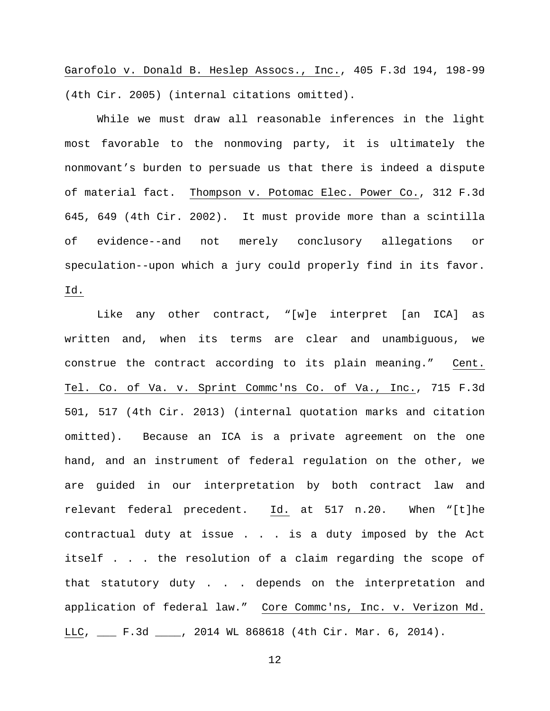Garofolo v. Donald B. Heslep Assocs., Inc., 405 F.3d 194, 198-99 (4th Cir. 2005) (internal citations omitted).

While we must draw all reasonable inferences in the light most favorable to the nonmoving party, it is ultimately the nonmovant's burden to persuade us that there is indeed a dispute of material fact. Thompson v. Potomac Elec. Power Co., 312 F.3d 645, 649 (4th Cir. 2002). It must provide more than a scintilla of evidence--and not merely conclusory allegations or speculation--upon which a jury could properly find in its favor. Id.

Like any other contract, "[w]e interpret [an ICA] as written and, when its terms are clear and unambiguous, we construe the contract according to its plain meaning." Cent. Tel. Co. of Va. v. Sprint Commc'ns Co. of Va., Inc., 715 F.3d 501, 517 (4th Cir. 2013) (internal quotation marks and citation omitted). Because an ICA is a private agreement on the one hand, and an instrument of federal regulation on the other, we are guided in our interpretation by both contract law and relevant federal precedent. Id. at 517 n.20. When "[t]he contractual duty at issue . . . is a duty imposed by the Act itself . . . the resolution of a claim regarding the scope of that statutory duty . . . depends on the interpretation and application of federal law." Core Commc'ns, Inc. v. Verizon Md. LLC, \_\_\_ F.3d \_\_\_\_, 2014 WL 868618 (4th Cir. Mar. 6, 2014).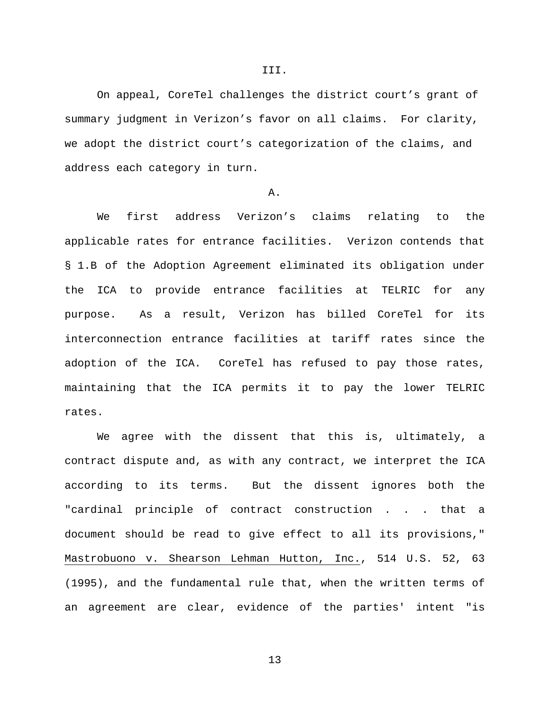On appeal, CoreTel challenges the district court's grant of summary judgment in Verizon's favor on all claims. For clarity, we adopt the district court's categorization of the claims, and address each category in turn.

## A.

We first address Verizon's claims relating to the applicable rates for entrance facilities. Verizon contends that § 1.B of the Adoption Agreement eliminated its obligation under the ICA to provide entrance facilities at TELRIC for any purpose. As a result, Verizon has billed CoreTel for its interconnection entrance facilities at tariff rates since the adoption of the ICA. CoreTel has refused to pay those rates, maintaining that the ICA permits it to pay the lower TELRIC rates.

We agree with the dissent that this is, ultimately, a contract dispute and, as with any contract, we interpret the ICA according to its terms. But the dissent ignores both the "cardinal principle of contract construction . . . that a document should be read to give effect to all its provisions," Mastrobuono v. Shearson Lehman Hutton, Inc., 514 U.S. 52, 63 (1995), and the fundamental rule that, when the written terms of an agreement are clear, evidence of the parties' intent "is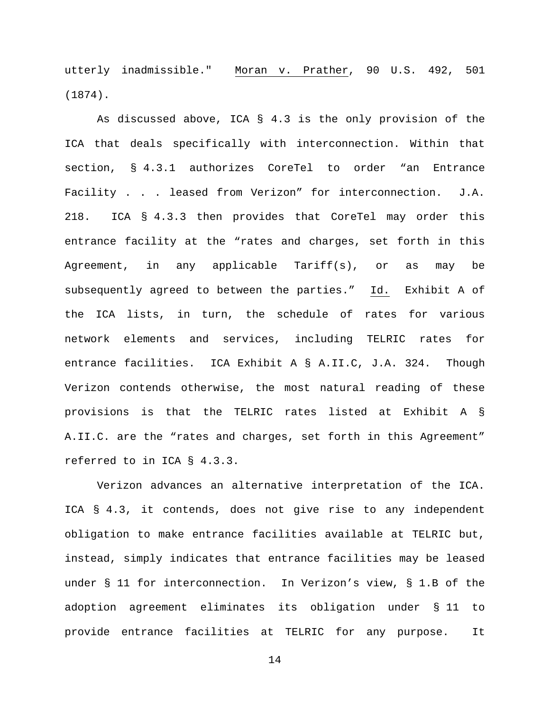utterly inadmissible." Moran v. Prather, 90 U.S. 492, 501 (1874).

As discussed above, ICA § 4.3 is the only provision of the ICA that deals specifically with interconnection. Within that section, § 4.3.1 authorizes CoreTel to order "an Entrance Facility . . . leased from Verizon" for interconnection. J.A. 218. ICA § 4.3.3 then provides that CoreTel may order this entrance facility at the "rates and charges, set forth in this Agreement, in any applicable Tariff(s), or as may be subsequently agreed to between the parties." Id. Exhibit A of the ICA lists, in turn, the schedule of rates for various network elements and services, including TELRIC rates for entrance facilities. ICA Exhibit A § A.II.C, J.A. 324. Though Verizon contends otherwise, the most natural reading of these provisions is that the TELRIC rates listed at Exhibit A § A.II.C. are the "rates and charges, set forth in this Agreement" referred to in ICA § 4.3.3.

Verizon advances an alternative interpretation of the ICA. ICA § 4.3, it contends, does not give rise to any independent obligation to make entrance facilities available at TELRIC but, instead, simply indicates that entrance facilities may be leased under § 11 for interconnection. In Verizon's view, § 1.B of the adoption agreement eliminates its obligation under § 11 to provide entrance facilities at TELRIC for any purpose. It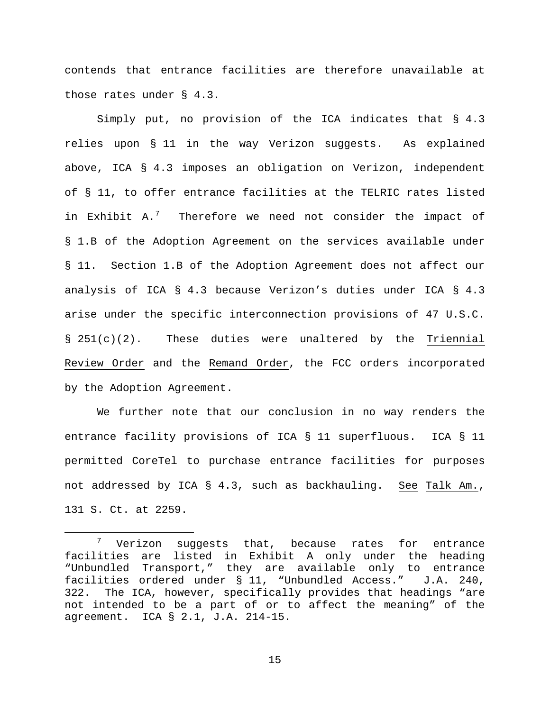contends that entrance facilities are therefore unavailable at those rates under § 4.3.

Simply put, no provision of the ICA indicates that § 4.3 relies upon § 11 in the way Verizon suggests. As explained above, ICA § 4.3 imposes an obligation on Verizon, independent of § 11, to offer entrance facilities at the TELRIC rates listed in Exhibit A.<sup>[7](#page-14-0)</sup> Therefore we need not consider the impact of § 1.B of the Adoption Agreement on the services available under § 11. Section 1.B of the Adoption Agreement does not affect our analysis of ICA § 4.3 because Verizon's duties under ICA § 4.3 arise under the specific interconnection provisions of 47 U.S.C.  $\S$  251(c)(2). These duties were unaltered by the Triennial Review Order and the Remand Order, the FCC orders incorporated by the Adoption Agreement.

We further note that our conclusion in no way renders the entrance facility provisions of ICA § 11 superfluous. ICA § 11 permitted CoreTel to purchase entrance facilities for purposes not addressed by ICA § 4.3, such as backhauling. See Talk Am., 131 S. Ct. at 2259.

 $\overline{a}$ 

<span id="page-14-0"></span>Verizon suggests that, because rates for entrance facilities are listed in Exhibit A only under the heading "Unbundled Transport," they are available only to entrance facilities ordered under § 11, "Unbundled Access." J.A. 240, 322. The ICA, however, specifically provides that headings "are not intended to be a part of or to affect the meaning" of the agreement. ICA § 2.1, J.A. 214-15.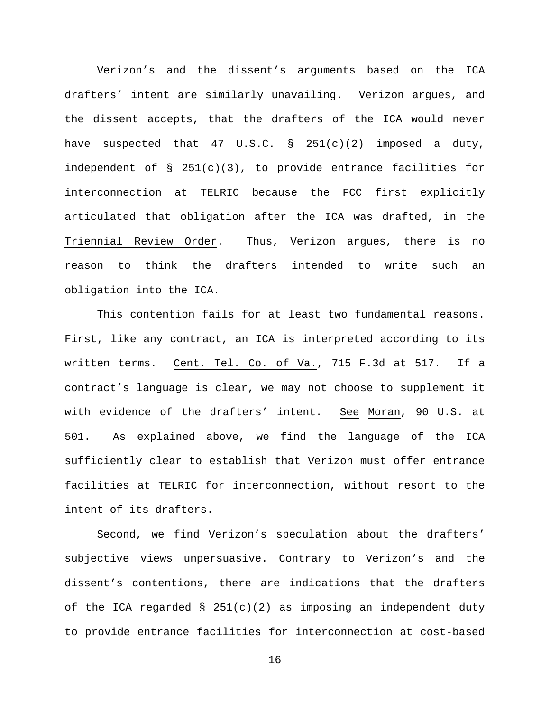Verizon's and the dissent's arguments based on the ICA drafters' intent are similarly unavailing. Verizon argues, and the dissent accepts, that the drafters of the ICA would never have suspected that  $47 \text{ U.S.C.} \text{ s } 251(c)(2)$  imposed a duty, independent of § 251(c)(3), to provide entrance facilities for interconnection at TELRIC because the FCC first explicitly articulated that obligation after the ICA was drafted, in the Triennial Review Order. Thus, Verizon argues, there is no reason to think the drafters intended to write such an obligation into the ICA.

This contention fails for at least two fundamental reasons. First, like any contract, an ICA is interpreted according to its written terms. Cent. Tel. Co. of Va., 715 F.3d at 517. If a contract's language is clear, we may not choose to supplement it with evidence of the drafters' intent. See Moran, 90 U.S. at 501. As explained above, we find the language of the ICA sufficiently clear to establish that Verizon must offer entrance facilities at TELRIC for interconnection, without resort to the intent of its drafters.

Second, we find Verizon's speculation about the drafters' subjective views unpersuasive. Contrary to Verizon's and the dissent's contentions, there are indications that the drafters of the ICA regarded  $\S$  251(c)(2) as imposing an independent duty to provide entrance facilities for interconnection at cost-based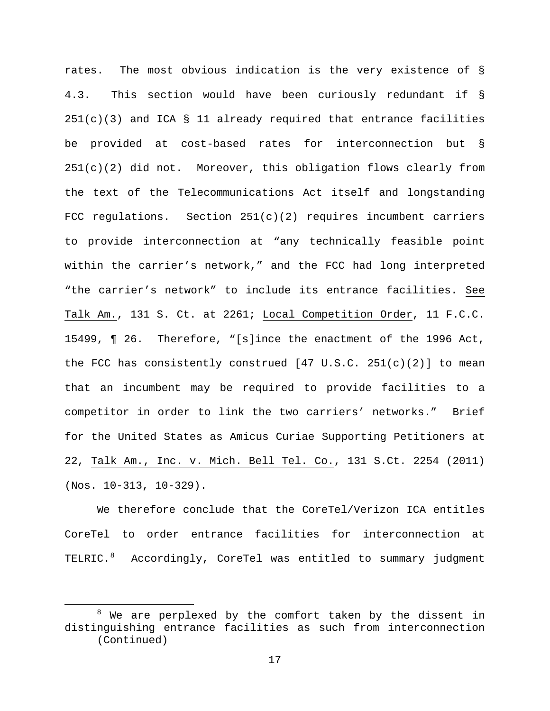rates. The most obvious indication is the very existence of § 4.3. This section would have been curiously redundant if §  $251(c)(3)$  and ICA § 11 already required that entrance facilities be provided at cost-based rates for interconnection but §  $251(c)(2)$  did not. Moreover, this obligation flows clearly from the text of the Telecommunications Act itself and longstanding FCC regulations. Section  $251(c)(2)$  requires incumbent carriers to provide interconnection at "any technically feasible point within the carrier's network," and the FCC had long interpreted "the carrier's network" to include its entrance facilities. See Talk Am., 131 S. Ct. at 2261; Local Competition Order, 11 F.C.C. 15499, ¶ 26. Therefore, "[s]ince the enactment of the 1996 Act, the FCC has consistently construed  $[47 \text{ U.S.C. } 251(c)(2)]$  to mean that an incumbent may be required to provide facilities to a competitor in order to link the two carriers' networks." Brief for the United States as Amicus Curiae Supporting Petitioners at 22, Talk Am., Inc. v. Mich. Bell Tel. Co., 131 S.Ct. 2254 (2011) (Nos. 10-313, 10-329).

We therefore conclude that the CoreTel/Verizon ICA entitles CoreTel to order entrance facilities for interconnection at TELRIC.[8](#page-16-0) Accordingly, CoreTel was entitled to summary judgment

 $\overline{a}$ 

<span id="page-16-0"></span> $8$  We are perplexed by the comfort taken by the dissent in distinguishing entrance facilities as such from interconnection (Continued)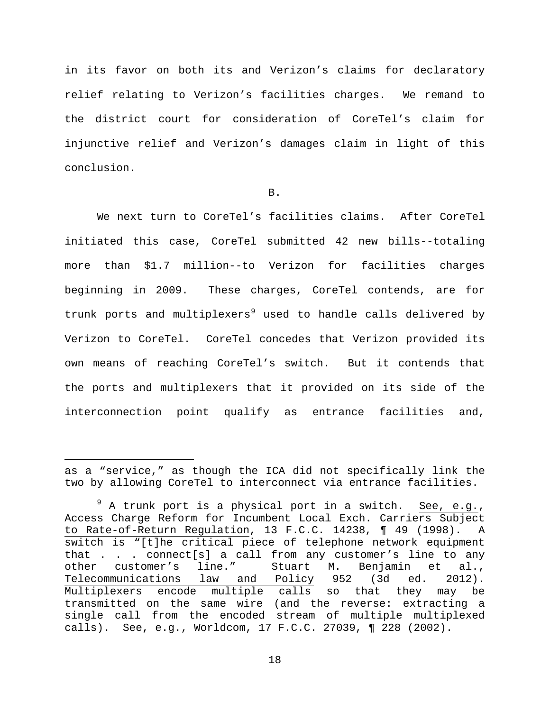in its favor on both its and Verizon's claims for declaratory relief relating to Verizon's facilities charges. We remand to the district court for consideration of CoreTel's claim for injunctive relief and Verizon's damages claim in light of this conclusion.

# B.

We next turn to CoreTel's facilities claims. After CoreTel initiated this case, CoreTel submitted 42 new bills--totaling more than \$1.7 million--to Verizon for facilities charges beginning in 2009. These charges, CoreTel contends, are for trunk ports and multiplexers<sup>[9](#page-17-0)</sup> used to handle calls delivered by Verizon to CoreTel. CoreTel concedes that Verizon provided its own means of reaching CoreTel's switch. But it contends that the ports and multiplexers that it provided on its side of the interconnection point qualify as entrance facilities and,

 $\overline{a}$ 

as a "service," as though the ICA did not specifically link the two by allowing CoreTel to interconnect via entrance facilities.

<span id="page-17-0"></span> $9$  A trunk port is a physical port in a switch. See, e.g., Access Charge Reform for Incumbent Local Exch. Carriers Subject to Rate-of-Return Regulation, 13 F.C.C. 14238, ¶ 49 (1998). A switch is "[t]he critical piece of telephone network equipment that . . . connect[s] a call from any customer's line to any<br>other customer's line." Stuart M. Benjamin et al., other customer's line." Stuart M. Benjamin et al.,<br>Telecommunications law and Policy 952 (3d ed. 2012). law and Policy Multiplexers encode multiple calls so that they may be transmitted on the same wire (and the reverse: extracting a single call from the encoded stream of multiple multiplexed calls). See, e.g., Worldcom, 17 F.C.C. 27039, ¶ 228 (2002).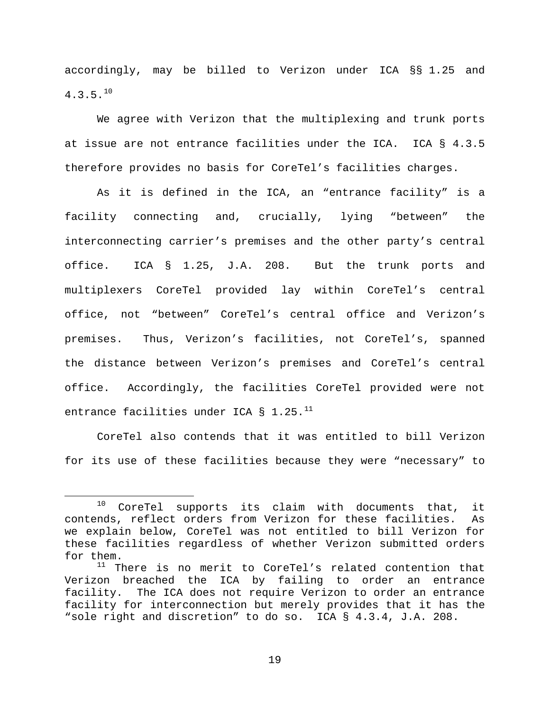accordingly, may be billed to Verizon under ICA §§ 1.25 and  $4.3.5.^{10}$  $4.3.5.^{10}$  $4.3.5.^{10}$ 

We agree with Verizon that the multiplexing and trunk ports at issue are not entrance facilities under the ICA. ICA § 4.3.5 therefore provides no basis for CoreTel's facilities charges.

As it is defined in the ICA, an "entrance facility" is a facility connecting and, crucially, lying "between" the interconnecting carrier's premises and the other party's central office. ICA § 1.25, J.A. 208. But the trunk ports and multiplexers CoreTel provided lay within CoreTel's central office, not "between" CoreTel's central office and Verizon's premises. Thus, Verizon's facilities, not CoreTel's, spanned the distance between Verizon's premises and CoreTel's central office. Accordingly, the facilities CoreTel provided were not entrance facilities under ICA § 1.25. $^{11}$  $^{11}$  $^{11}$ 

CoreTel also contends that it was entitled to bill Verizon for its use of these facilities because they were "necessary" to

 $\overline{a}$ 

<span id="page-18-0"></span> $10$  CoreTel supports its claim with documents that, it contends, reflect orders from Verizon for these facilities. As we explain below, CoreTel was not entitled to bill Verizon for these facilities regardless of whether Verizon submitted orders for them.

<span id="page-18-1"></span> $11$  There is no merit to CoreTel's related contention that Verizon breached the ICA by failing to order an entrance facility. The ICA does not require Verizon to order an entrance facility for interconnection but merely provides that it has the "sole right and discretion" to do so. ICA § 4.3.4, J.A. 208.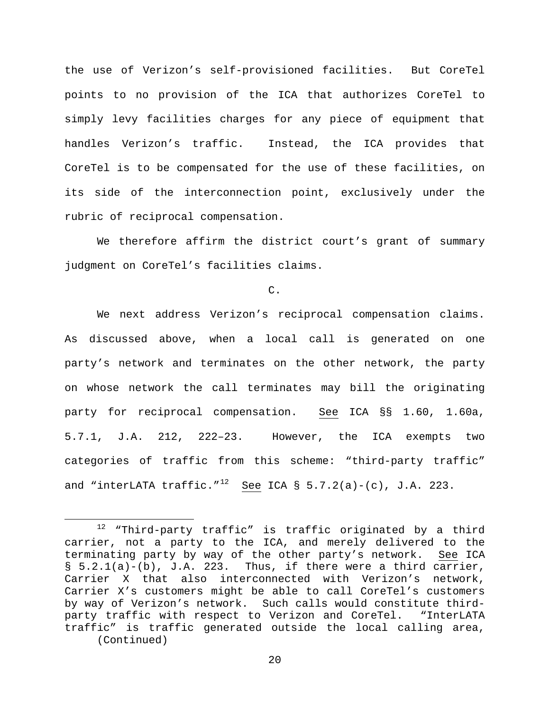the use of Verizon's self-provisioned facilities. But CoreTel points to no provision of the ICA that authorizes CoreTel to simply levy facilities charges for any piece of equipment that handles Verizon's traffic. Instead, the ICA provides that CoreTel is to be compensated for the use of these facilities, on its side of the interconnection point, exclusively under the rubric of reciprocal compensation.

We therefore affirm the district court's grant of summary judgment on CoreTel's facilities claims.

C.

We next address Verizon's reciprocal compensation claims. As discussed above, when a local call is generated on one party's network and terminates on the other network, the party on whose network the call terminates may bill the originating party for reciprocal compensation. See ICA §§ 1.60, 1.60a, 5.7.1, J.A. 212, 222–23. However, the ICA exempts two categories of traffic from this scheme: "third-party traffic" and "interLATA traffic."<sup>12</sup> See ICA § 5.7.2(a)-(c), J.A. 223.

 $\overline{a}$ 

<span id="page-19-0"></span> $12$  "Third-party traffic" is traffic originated by a third carrier, not a party to the ICA, and merely delivered to the terminating party by way of the other party's network. See ICA  $\S$  5.2.1(a)-(b), J.A. 223. Thus, if there were a third carrier, Carrier X that also interconnected with Verizon's network, Carrier X's customers might be able to call CoreTel's customers by way of Verizon's network. Such calls would constitute thirdparty traffic with respect to Verizon and CoreTel. "InterLATA traffic" is traffic generated outside the local calling area, (Continued)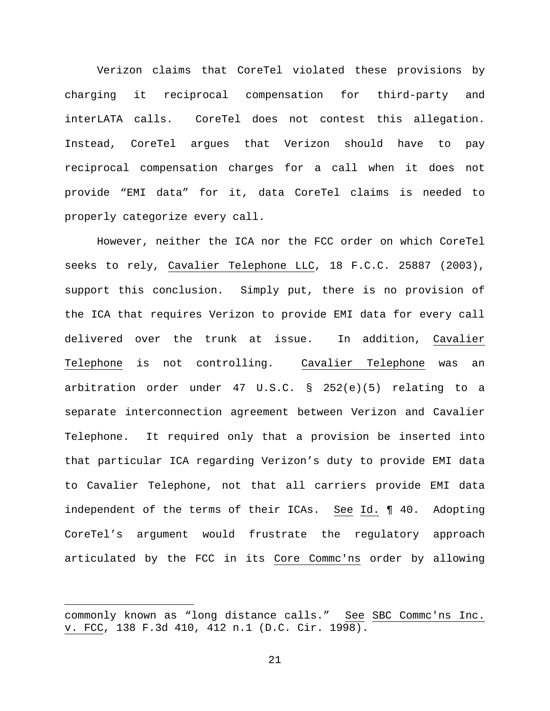Verizon claims that CoreTel violated these provisions by charging it reciprocal compensation for third-party and interLATA calls. CoreTel does not contest this allegation. Instead, CoreTel argues that Verizon should have to pay reciprocal compensation charges for a call when it does not provide "EMI data" for it, data CoreTel claims is needed to properly categorize every call.

However, neither the ICA nor the FCC order on which CoreTel seeks to rely, Cavalier Telephone LLC, 18 F.C.C. 25887 (2003), support this conclusion. Simply put, there is no provision of the ICA that requires Verizon to provide EMI data for every call delivered over the trunk at issue. In addition, Cavalier Telephone is not controlling. Cavalier Telephone was an arbitration order under 47 U.S.C. § 252(e)(5) relating to a separate interconnection agreement between Verizon and Cavalier Telephone. It required only that a provision be inserted into that particular ICA regarding Verizon's duty to provide EMI data to Cavalier Telephone, not that all carriers provide EMI data independent of the terms of their ICAs. See Id. ¶ 40. Adopting CoreTel's argument would frustrate the regulatory approach articulated by the FCC in its Core Commc'ns order by allowing

 $\overline{a}$ 

commonly known as "long distance calls." See SBC Commc'ns Inc. v. FCC, 138 F.3d 410, 412 n.1 (D.C. Cir. 1998).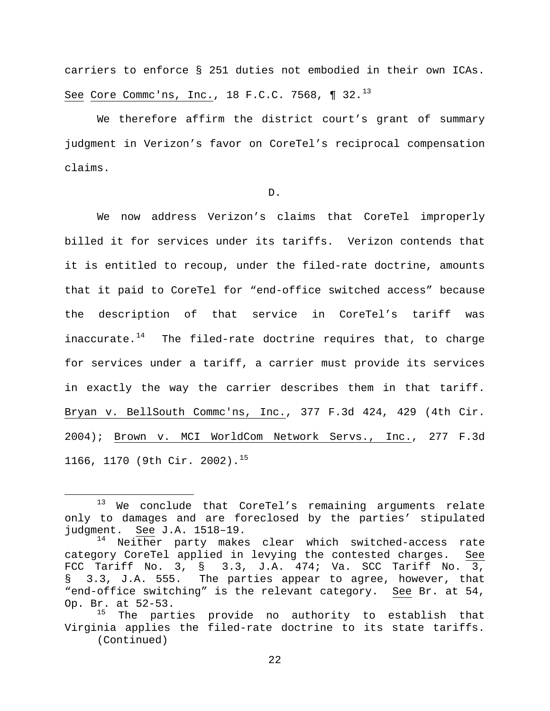carriers to enforce § 251 duties not embodied in their own ICAs. See Core Commc'ns, Inc., 18 F.C.C. 7568, ¶ 32.<sup>[13](#page-21-0)</sup>

We therefore affirm the district court's grant of summary judgment in Verizon's favor on CoreTel's reciprocal compensation claims.

D.

We now address Verizon's claims that CoreTel improperly billed it for services under its tariffs. Verizon contends that it is entitled to recoup, under the filed-rate doctrine, amounts that it paid to CoreTel for "end-office switched access" because the description of that service in CoreTel's tariff was inaccurate. $14$  The filed-rate doctrine requires that, to charge for services under a tariff, a carrier must provide its services in exactly the way the carrier describes them in that tariff. Bryan v. BellSouth Commc'ns, Inc., 377 F.3d 424, 429 (4th Cir. 2004); Brown v. MCI WorldCom Network Servs., Inc., 277 F.3d 1166, 1170 (9th Cir. 2002).<sup>[15](#page-21-2)</sup>

 $\overline{a}$ 

<span id="page-21-0"></span><sup>13</sup> We conclude that CoreTel's remaining arguments relate only to damages and are foreclosed by the parties' stipulated judgment. See J.A. 1518–19.

<span id="page-21-1"></span><sup>&</sup>lt;sup>14</sup> Neither party makes clear which switched-access rate category CoreTel applied in levying the contested charges. See FCC Tariff No. 3,  $\S$  3.3, J.A. 474; Va. SCC Tariff No. 3,  $\S$  3.3, J.A. 555. The parties appear to agree, however, that § 3.3, J.A. 555. The parties appear to agree, however, that "end-office switching" is the relevant category. See Br. at 54, Op. Br. at  $52-53$ .<br> $^{15}$  The part

<span id="page-21-2"></span>The parties provide no authority to establish that Virginia applies the filed-rate doctrine to its state tariffs. (Continued)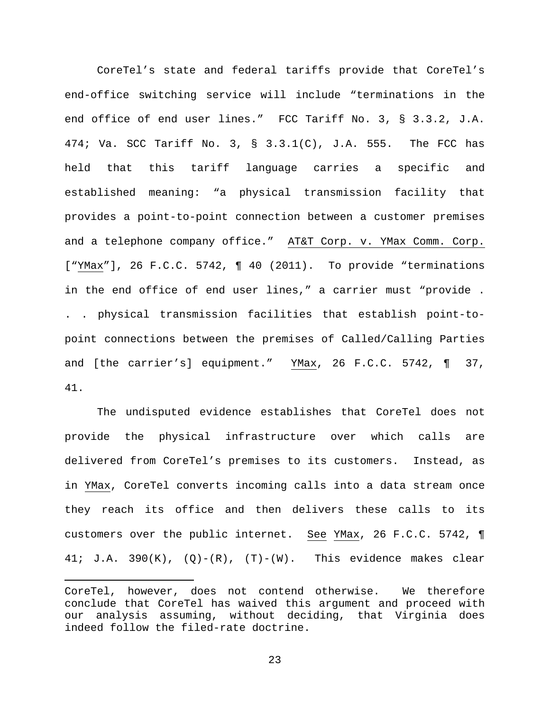CoreTel's state and federal tariffs provide that CoreTel's end-office switching service will include "terminations in the end office of end user lines." FCC Tariff No. 3, § 3.3.2, J.A. 474; Va. SCC Tariff No. 3, § 3.3.1(C), J.A. 555. The FCC has held that this tariff language carries a specific and established meaning: "a physical transmission facility that provides a point-to-point connection between a customer premises and a telephone company office." AT&T Corp. v. YMax Comm. Corp. ["YMax"], 26 F.C.C. 5742, ¶ 40 (2011). To provide "terminations in the end office of end user lines," a carrier must "provide . . . physical transmission facilities that establish point-topoint connections between the premises of Called/Calling Parties and [the carrier's] equipment." YMax, 26 F.C.C. 5742, ¶ 37, 41.

The undisputed evidence establishes that CoreTel does not provide the physical infrastructure over which calls are delivered from CoreTel's premises to its customers. Instead, as in YMax, CoreTel converts incoming calls into a data stream once they reach its office and then delivers these calls to its customers over the public internet. See YMax, 26 F.C.C. 5742, ¶ 41; J.A. 390 $(K)$ ,  $(Q) - (R)$ ,  $(T) - (W)$ . This evidence makes clear

 $\overline{a}$ 

CoreTel, however, does not contend otherwise. We therefore conclude that CoreTel has waived this argument and proceed with our analysis assuming, without deciding, that Virginia does indeed follow the filed-rate doctrine.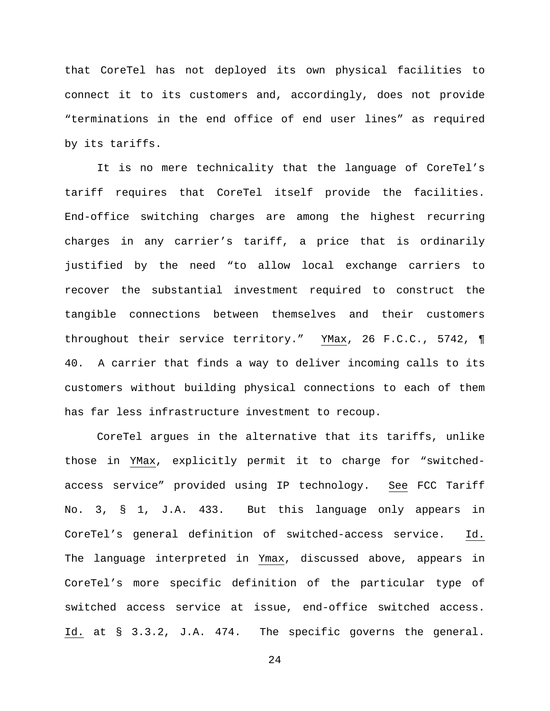that CoreTel has not deployed its own physical facilities to connect it to its customers and, accordingly, does not provide "terminations in the end office of end user lines" as required by its tariffs.

It is no mere technicality that the language of CoreTel's tariff requires that CoreTel itself provide the facilities. End-office switching charges are among the highest recurring charges in any carrier's tariff, a price that is ordinarily justified by the need "to allow local exchange carriers to recover the substantial investment required to construct the tangible connections between themselves and their customers throughout their service territory." YMax, 26 F.C.C., 5742, ¶ 40. A carrier that finds a way to deliver incoming calls to its customers without building physical connections to each of them has far less infrastructure investment to recoup.

CoreTel argues in the alternative that its tariffs, unlike those in YMax, explicitly permit it to charge for "switchedaccess service" provided using IP technology. See FCC Tariff No. 3, § 1, J.A. 433. But this language only appears in CoreTel's general definition of switched-access service. Id. The language interpreted in Ymax, discussed above, appears in CoreTel's more specific definition of the particular type of switched access service at issue, end-office switched access. Id. at § 3.3.2, J.A. 474. The specific governs the general.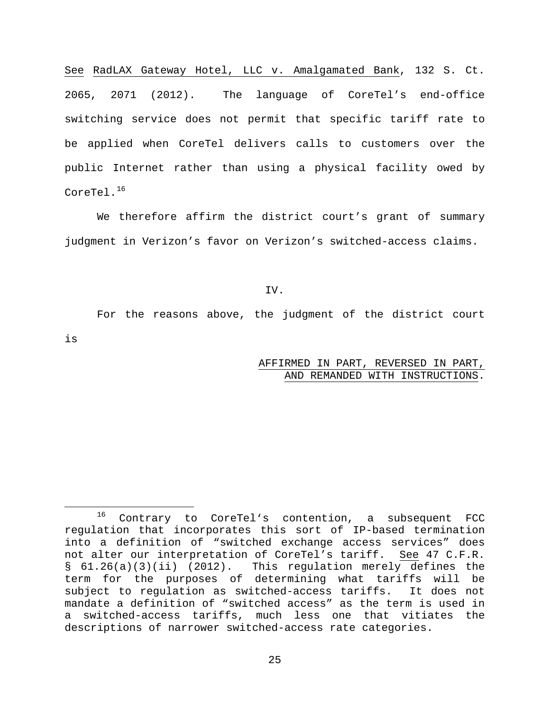See RadLAX Gateway Hotel, LLC v. Amalgamated Bank, 132 S. Ct. 2065, 2071 (2012). The language of CoreTel's end-office switching service does not permit that specific tariff rate to be applied when CoreTel delivers calls to customers over the public Internet rather than using a physical facility owed by CoreTel.<sup>[16](#page-24-0)</sup>

We therefore affirm the district court's grant of summary judgment in Verizon's favor on Verizon's switched-access claims.

IV.

For the reasons above, the judgment of the district court

is

# AFFIRMED IN PART, REVERSED IN PART, AND REMANDED WITH INSTRUCTIONS.

<span id="page-24-0"></span> $\overline{a}$ <sup>16</sup> Contrary to CoreTel's contention, a subsequent FCC regulation that incorporates this sort of IP-based termination into a definition of "switched exchange access services" does not alter our interpretation of CoreTel's tariff. See 47 C.F.R. § 61.26(a)(3)(ii) (2012). This regulation merely defines the term for the purposes of determining what tariffs will be<br>subject to requlation as switched-access tariffs. It does not subject to regulation as switched-access tariffs. mandate a definition of "switched access" as the term is used in a switched-access tariffs, much less one that vitiates the descriptions of narrower switched-access rate categories.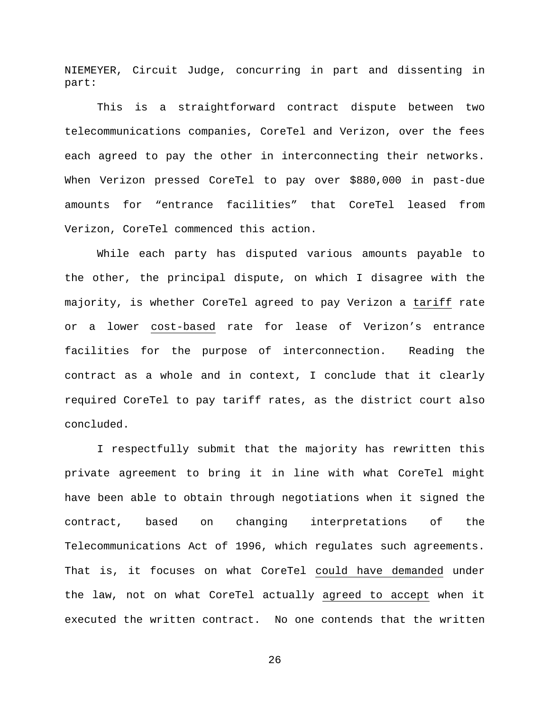NIEMEYER, Circuit Judge, concurring in part and dissenting in part:

This is a straightforward contract dispute between two telecommunications companies, CoreTel and Verizon, over the fees each agreed to pay the other in interconnecting their networks. When Verizon pressed CoreTel to pay over \$880,000 in past-due amounts for "entrance facilities" that CoreTel leased from Verizon, CoreTel commenced this action.

While each party has disputed various amounts payable to the other, the principal dispute, on which I disagree with the majority, is whether CoreTel agreed to pay Verizon a tariff rate or a lower cost-based rate for lease of Verizon's entrance facilities for the purpose of interconnection. Reading the contract as a whole and in context, I conclude that it clearly required CoreTel to pay tariff rates, as the district court also concluded.

I respectfully submit that the majority has rewritten this private agreement to bring it in line with what CoreTel might have been able to obtain through negotiations when it signed the contract, based on changing interpretations of the Telecommunications Act of 1996, which regulates such agreements. That is, it focuses on what CoreTel could have demanded under the law, not on what CoreTel actually agreed to accept when it executed the written contract. No one contends that the written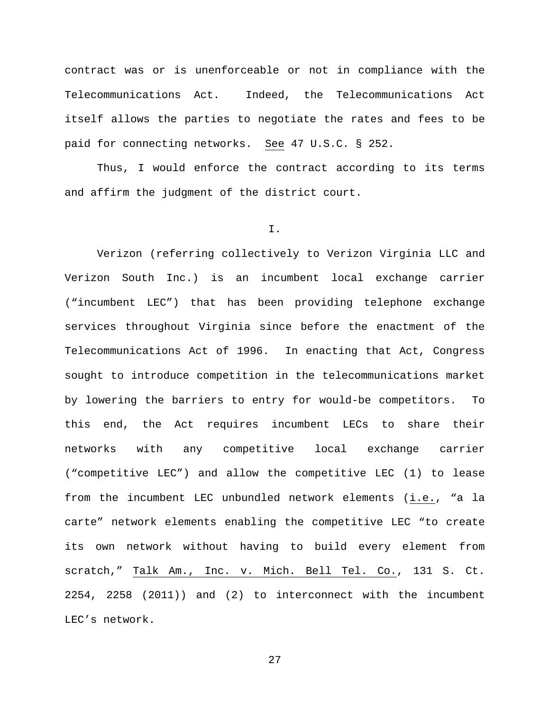contract was or is unenforceable or not in compliance with the Telecommunications Act. Indeed, the Telecommunications Act itself allows the parties to negotiate the rates and fees to be paid for connecting networks. See 47 U.S.C. § 252.

Thus, I would enforce the contract according to its terms and affirm the judgment of the district court.

#### I.

Verizon (referring collectively to Verizon Virginia LLC and Verizon South Inc.) is an incumbent local exchange carrier ("incumbent LEC") that has been providing telephone exchange services throughout Virginia since before the enactment of the Telecommunications Act of 1996. In enacting that Act, Congress sought to introduce competition in the telecommunications market by lowering the barriers to entry for would-be competitors. To this end, the Act requires incumbent LECs to share their networks with any competitive local exchange carrier ("competitive LEC") and allow the competitive LEC (1) to lease from the incumbent LEC unbundled network elements (i.e., "a la carte" network elements enabling the competitive LEC "to create its own network without having to build every element from scratch," Talk Am., Inc. v. Mich. Bell Tel. Co., 131 S. Ct. 2254, 2258 (2011)) and (2) to interconnect with the incumbent LEC's network.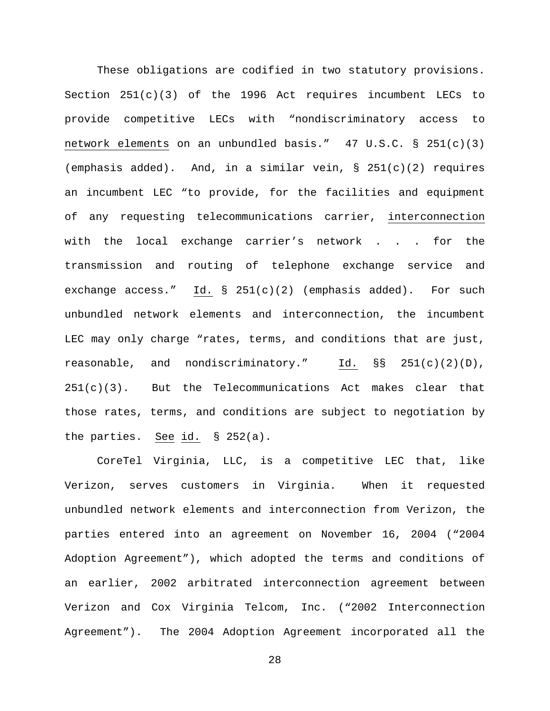These obligations are codified in two statutory provisions. Section  $251(c)(3)$  of the 1996 Act requires incumbent LECs to provide competitive LECs with "nondiscriminatory access to network elements on an unbundled basis."  $47 \text{ U.S.C.}$  §  $251(c)(3)$ (emphasis added). And, in a similar vein,  $\S$  251(c)(2) requires an incumbent LEC "to provide, for the facilities and equipment of any requesting telecommunications carrier, interconnection with the local exchange carrier's network . . . for the transmission and routing of telephone exchange service and exchange access." Id. § 251(c)(2) (emphasis added). For such unbundled network elements and interconnection, the incumbent LEC may only charge "rates, terms, and conditions that are just, reasonable, and nondiscriminatory." Id.  $\S$ S 251(c)(2)(D),  $251(c)(3)$ . But the Telecommunications Act makes clear that those rates, terms, and conditions are subject to negotiation by the parties. See id. § 252(a).

CoreTel Virginia, LLC, is a competitive LEC that, like Verizon, serves customers in Virginia. When it requested unbundled network elements and interconnection from Verizon, the parties entered into an agreement on November 16, 2004 ("2004 Adoption Agreement"), which adopted the terms and conditions of an earlier, 2002 arbitrated interconnection agreement between Verizon and Cox Virginia Telcom, Inc. ("2002 Interconnection Agreement"). The 2004 Adoption Agreement incorporated all the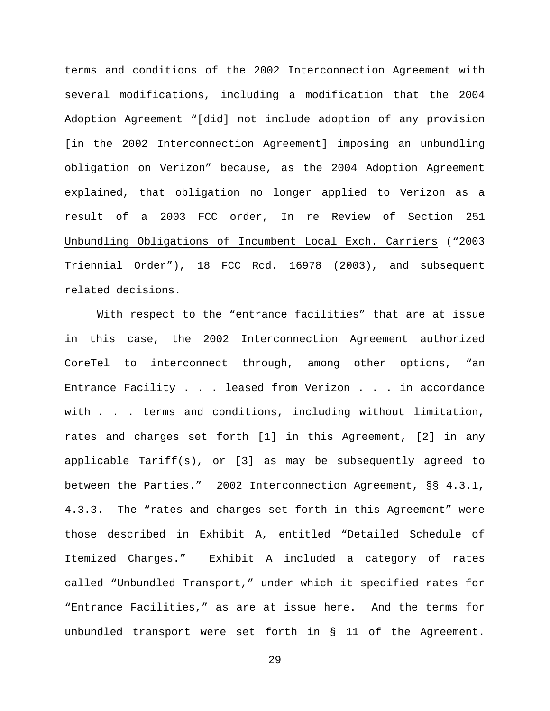terms and conditions of the 2002 Interconnection Agreement with several modifications, including a modification that the 2004 Adoption Agreement "[did] not include adoption of any provision [in the 2002 Interconnection Agreement] imposing an unbundling obligation on Verizon" because, as the 2004 Adoption Agreement explained, that obligation no longer applied to Verizon as a result of a 2003 FCC order, In re Review of Section 251 Unbundling Obligations of Incumbent Local Exch. Carriers ("2003 Triennial Order"), 18 FCC Rcd. 16978 (2003), and subsequent related decisions.

With respect to the "entrance facilities" that are at issue in this case, the 2002 Interconnection Agreement authorized CoreTel to interconnect through, among other options, "an Entrance Facility . . . leased from Verizon . . . in accordance with . . . terms and conditions, including without limitation, rates and charges set forth [1] in this Agreement, [2] in any applicable Tariff(s), or [3] as may be subsequently agreed to between the Parties." 2002 Interconnection Agreement,  $\S S$  4.3.1, 4.3.3. The "rates and charges set forth in this Agreement" were those described in Exhibit A, entitled "Detailed Schedule of Itemized Charges." Exhibit A included a category of rates called "Unbundled Transport," under which it specified rates for "Entrance Facilities," as are at issue here. And the terms for unbundled transport were set forth in § 11 of the Agreement.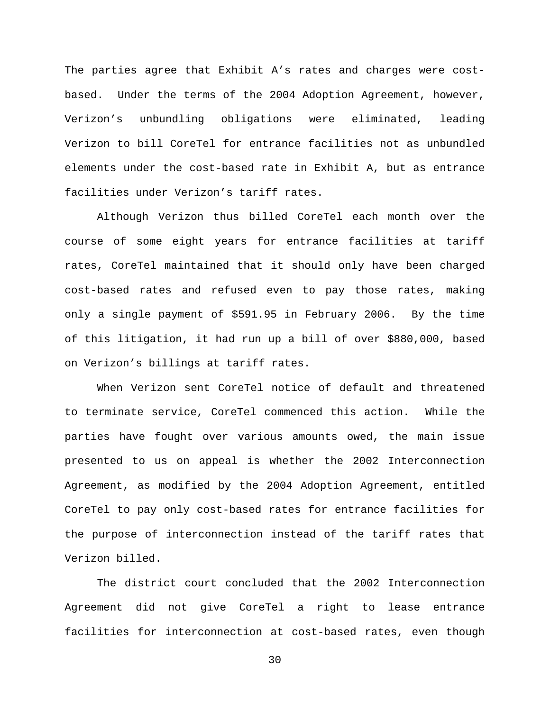The parties agree that Exhibit A's rates and charges were costbased. Under the terms of the 2004 Adoption Agreement, however, Verizon's unbundling obligations were eliminated, leading Verizon to bill CoreTel for entrance facilities not as unbundled elements under the cost-based rate in Exhibit A, but as entrance facilities under Verizon's tariff rates.

Although Verizon thus billed CoreTel each month over the course of some eight years for entrance facilities at tariff rates, CoreTel maintained that it should only have been charged cost-based rates and refused even to pay those rates, making only a single payment of \$591.95 in February 2006. By the time of this litigation, it had run up a bill of over \$880,000, based on Verizon's billings at tariff rates.

When Verizon sent CoreTel notice of default and threatened to terminate service, CoreTel commenced this action. While the parties have fought over various amounts owed, the main issue presented to us on appeal is whether the 2002 Interconnection Agreement, as modified by the 2004 Adoption Agreement, entitled CoreTel to pay only cost-based rates for entrance facilities for the purpose of interconnection instead of the tariff rates that Verizon billed.

The district court concluded that the 2002 Interconnection Agreement did not give CoreTel a right to lease entrance facilities for interconnection at cost-based rates, even though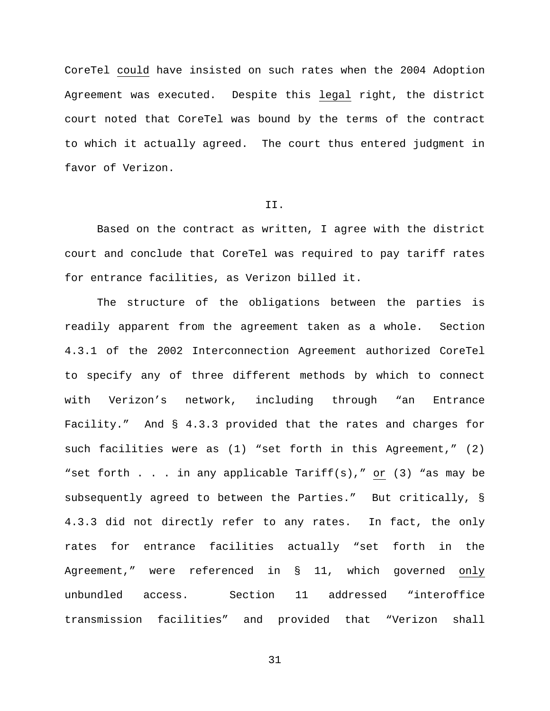CoreTel could have insisted on such rates when the 2004 Adoption Agreement was executed. Despite this legal right, the district court noted that CoreTel was bound by the terms of the contract to which it actually agreed. The court thus entered judgment in favor of Verizon.

#### II.

Based on the contract as written, I agree with the district court and conclude that CoreTel was required to pay tariff rates for entrance facilities, as Verizon billed it.

The structure of the obligations between the parties is readily apparent from the agreement taken as a whole. Section 4.3.1 of the 2002 Interconnection Agreement authorized CoreTel to specify any of three different methods by which to connect with Verizon's network, including through "an Entrance Facility." And § 4.3.3 provided that the rates and charges for such facilities were as (1) "set forth in this Agreement," (2) "set forth . . . in any applicable Tariff(s)," or (3) "as may be subsequently agreed to between the Parties." But critically, § 4.3.3 did not directly refer to any rates. In fact, the only rates for entrance facilities actually "set forth in the Agreement," were referenced in § 11, which governed only unbundled access. Section 11 addressed "interoffice transmission facilities" and provided that "Verizon shall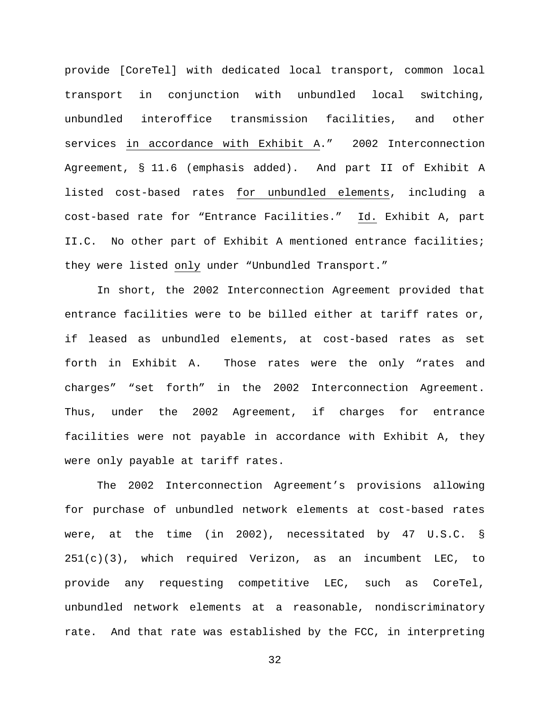provide [CoreTel] with dedicated local transport, common local transport in conjunction with unbundled local switching, unbundled interoffice transmission facilities, and other services in accordance with Exhibit A." 2002 Interconnection Agreement, § 11.6 (emphasis added). And part II of Exhibit A listed cost-based rates for unbundled elements, including a cost-based rate for "Entrance Facilities." Id. Exhibit A, part II.C. No other part of Exhibit A mentioned entrance facilities; they were listed only under "Unbundled Transport."

In short, the 2002 Interconnection Agreement provided that entrance facilities were to be billed either at tariff rates or, if leased as unbundled elements, at cost-based rates as set forth in Exhibit A. Those rates were the only "rates and charges" "set forth" in the 2002 Interconnection Agreement. Thus, under the 2002 Agreement, if charges for entrance facilities were not payable in accordance with Exhibit A, they were only payable at tariff rates.

The 2002 Interconnection Agreement's provisions allowing for purchase of unbundled network elements at cost-based rates were, at the time (in 2002), necessitated by 47 U.S.C. § 251(c)(3), which required Verizon, as an incumbent LEC, to provide any requesting competitive LEC, such as CoreTel, unbundled network elements at a reasonable, nondiscriminatory rate. And that rate was established by the FCC, in interpreting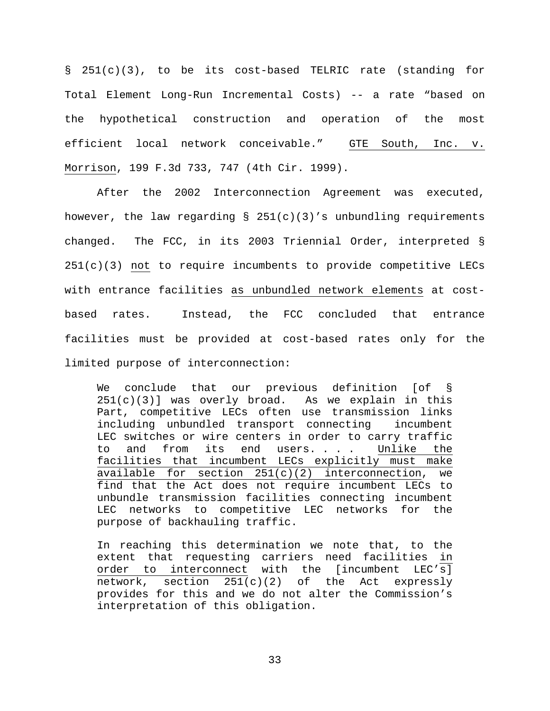§ 251(c)(3), to be its cost-based TELRIC rate (standing for Total Element Long-Run Incremental Costs) -- a rate "based on the hypothetical construction and operation of the most efficient local network conceivable." GTE South, Inc. v. Morrison, 199 F.3d 733, 747 (4th Cir. 1999).

After the 2002 Interconnection Agreement was executed, however, the law regarding  $\S$  251(c)(3)'s unbundling requirements changed. The FCC, in its 2003 Triennial Order, interpreted § 251(c)(3) not to require incumbents to provide competitive LECs with entrance facilities as unbundled network elements at costbased rates. Instead, the FCC concluded that entrance facilities must be provided at cost-based rates only for the limited purpose of interconnection:

We conclude that our previous definition [of §  $251(c)(3)$ ] was overly broad. As we explain in this Part, competitive LECs often use transmission links including unbundled transport connecting incumbent LEC switches or wire centers in order to carry traffic to and from its end users. . . . Unlike the facilities that incumbent LECs explicitly must make available for section  $251(c)(2)$  interconnection, we find that the Act does not require incumbent LECs to unbundle transmission facilities connecting incumbent LEC networks to competitive LEC networks for the purpose of backhauling traffic.

In reaching this determination we note that, to the extent that requesting carriers need facilities in order to interconnect with the [incumbent LEC's] network, section  $251(c)(2)$  of the Act expressly provides for this and we do not alter the Commission's interpretation of this obligation.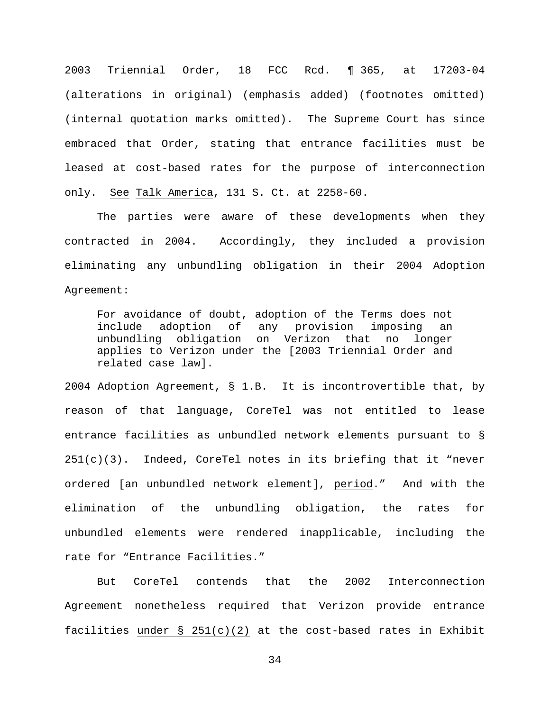2003 Triennial Order, 18 FCC Rcd. ¶ 365, at 17203-04 (alterations in original) (emphasis added) (footnotes omitted) (internal quotation marks omitted). The Supreme Court has since embraced that Order, stating that entrance facilities must be leased at cost-based rates for the purpose of interconnection only. See Talk America, 131 S. Ct. at 2258-60.

The parties were aware of these developments when they contracted in 2004. Accordingly, they included a provision eliminating any unbundling obligation in their 2004 Adoption Agreement:

For avoidance of doubt, adoption of the Terms does not include adoption of any provision imposing an unbundling obligation on Verizon that no longer applies to Verizon under the [2003 Triennial Order and related case law].

2004 Adoption Agreement, § 1.B. It is incontrovertible that, by reason of that language, CoreTel was not entitled to lease entrance facilities as unbundled network elements pursuant to §  $251(c)(3)$ . Indeed, CoreTel notes in its briefing that it "never ordered [an unbundled network element], period." And with the elimination of the unbundling obligation, the rates for unbundled elements were rendered inapplicable, including the rate for "Entrance Facilities."

But CoreTel contends that the 2002 Interconnection Agreement nonetheless required that Verizon provide entrance facilities under § 251(c)(2) at the cost-based rates in Exhibit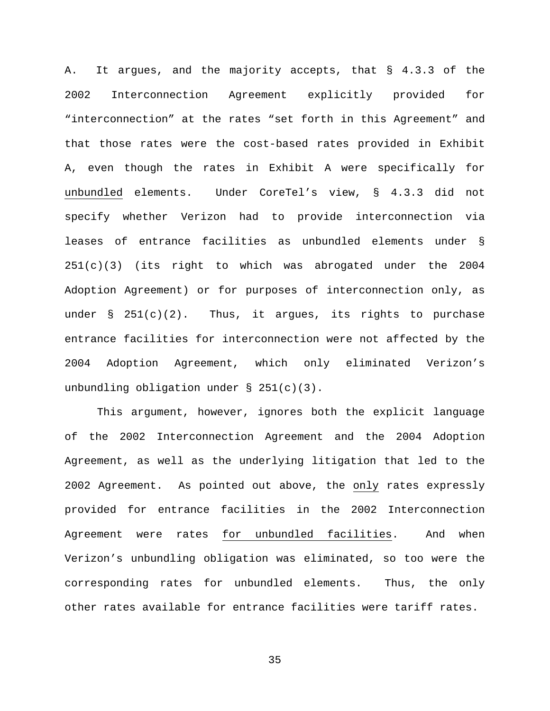A. It argues, and the majority accepts, that § 4.3.3 of the 2002 Interconnection Agreement explicitly provided for "interconnection" at the rates "set forth in this Agreement" and that those rates were the cost-based rates provided in Exhibit A, even though the rates in Exhibit A were specifically for unbundled elements. Under CoreTel's view, § 4.3.3 did not specify whether Verizon had to provide interconnection via leases of entrance facilities as unbundled elements under § 251(c)(3) (its right to which was abrogated under the 2004 Adoption Agreement) or for purposes of interconnection only, as under  $\S$  251(c)(2). Thus, it argues, its rights to purchase entrance facilities for interconnection were not affected by the 2004 Adoption Agreement, which only eliminated Verizon's unbundling obligation under  $\S$  251(c)(3).

This argument, however, ignores both the explicit language of the 2002 Interconnection Agreement and the 2004 Adoption Agreement, as well as the underlying litigation that led to the 2002 Agreement. As pointed out above, the only rates expressly provided for entrance facilities in the 2002 Interconnection Agreement were rates for unbundled facilities. And when Verizon's unbundling obligation was eliminated, so too were the corresponding rates for unbundled elements. Thus, the only other rates available for entrance facilities were tariff rates.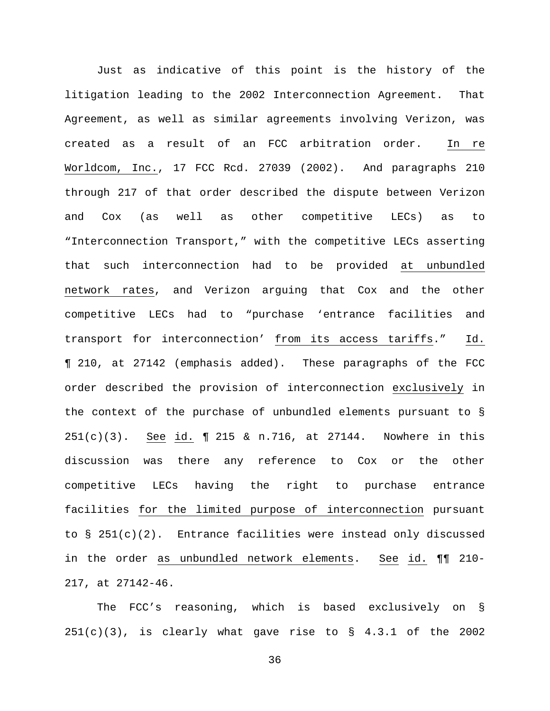Just as indicative of this point is the history of the litigation leading to the 2002 Interconnection Agreement. That Agreement, as well as similar agreements involving Verizon, was created as a result of an FCC arbitration order. In re Worldcom, Inc., 17 FCC Rcd. 27039 (2002). And paragraphs 210 through 217 of that order described the dispute between Verizon and Cox (as well as other competitive LECs) as to "Interconnection Transport," with the competitive LECs asserting that such interconnection had to be provided at unbundled network rates, and Verizon arguing that Cox and the other competitive LECs had to "purchase 'entrance facilities and transport for interconnection' from its access tariffs." Id. ¶ 210, at 27142 (emphasis added). These paragraphs of the FCC order described the provision of interconnection exclusively in the context of the purchase of unbundled elements pursuant to § 251(c)(3). See id. ¶ 215 & n.716, at 27144. Nowhere in this discussion was there any reference to Cox or the other competitive LECs having the right to purchase entrance facilities for the limited purpose of interconnection pursuant to  $\S$  251(c)(2). Entrance facilities were instead only discussed in the order as unbundled network elements. See id. ¶¶ 210- 217, at 27142-46.

The FCC's reasoning, which is based exclusively on §  $251(c)(3)$ , is clearly what gave rise to § 4.3.1 of the 2002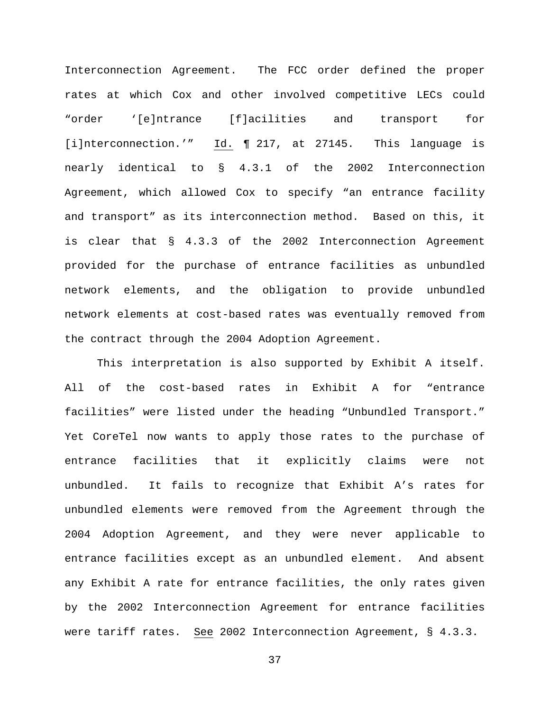Interconnection Agreement. The FCC order defined the proper rates at which Cox and other involved competitive LECs could "order '[e]ntrance [f]acilities and transport for [i]nterconnection.'" Id. ¶ 217, at 27145. This language is nearly identical to § 4.3.1 of the 2002 Interconnection Agreement, which allowed Cox to specify "an entrance facility and transport" as its interconnection method. Based on this, it is clear that § 4.3.3 of the 2002 Interconnection Agreement provided for the purchase of entrance facilities as unbundled network elements, and the obligation to provide unbundled network elements at cost-based rates was eventually removed from the contract through the 2004 Adoption Agreement.

This interpretation is also supported by Exhibit A itself. All of the cost-based rates in Exhibit A for "entrance facilities" were listed under the heading "Unbundled Transport." Yet CoreTel now wants to apply those rates to the purchase of entrance facilities that it explicitly claims were not unbundled. It fails to recognize that Exhibit A's rates for unbundled elements were removed from the Agreement through the 2004 Adoption Agreement, and they were never applicable to entrance facilities except as an unbundled element. And absent any Exhibit A rate for entrance facilities, the only rates given by the 2002 Interconnection Agreement for entrance facilities were tariff rates. See 2002 Interconnection Agreement,  $\S$  4.3.3.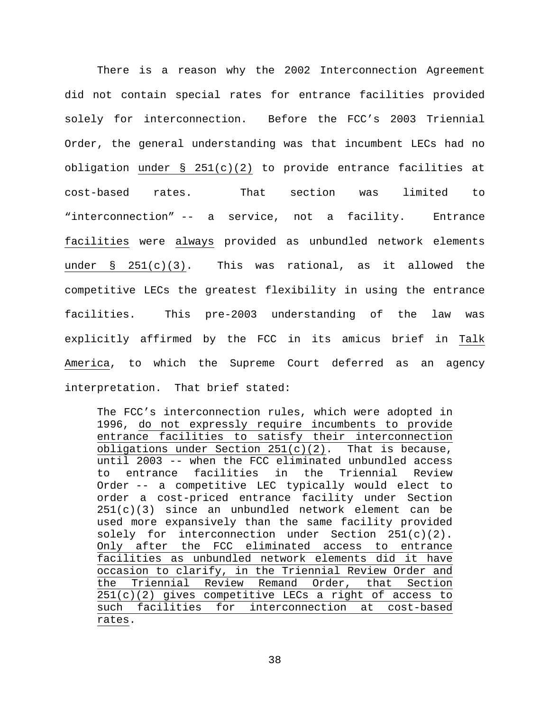There is a reason why the 2002 Interconnection Agreement did not contain special rates for entrance facilities provided solely for interconnection. Before the FCC's 2003 Triennial Order, the general understanding was that incumbent LECs had no obligation under § 251(c)(2) to provide entrance facilities at cost-based rates. That section was limited to "interconnection" -- a service, not a facility. Entrance facilities were always provided as unbundled network elements under § 251(c)(3). This was rational, as it allowed the competitive LECs the greatest flexibility in using the entrance facilities. This pre-2003 understanding of the law was explicitly affirmed by the FCC in its amicus brief in Talk America, to which the Supreme Court deferred as an agency interpretation. That brief stated:

The FCC's interconnection rules, which were adopted in 1996, do not expressly require incumbents to provide entrance facilities to satisfy their interconnection obligations under Section  $251(c)(2)$ . That is because, until 2003 -- when the FCC eliminated unbundled access to entrance facilities in the Triennial Review Order -- a competitive LEC typically would elect to order a cost-priced entrance facility under Section  $251(c)(3)$  since an unbundled network element can be used more expansively than the same facility provided solely for interconnection under Section  $251(c)(2)$ . Only after the FCC eliminated access to entrance facilities as unbundled network elements did it have occasion to clarify, in the Triennial Review Order and<br>the Triennial Review Remand Order, that Section the Triennial Review Remand Order, that Section  $251(c)(2)$  gives competitive LECs a right of access to such facilities for interconnection at cost-based rates.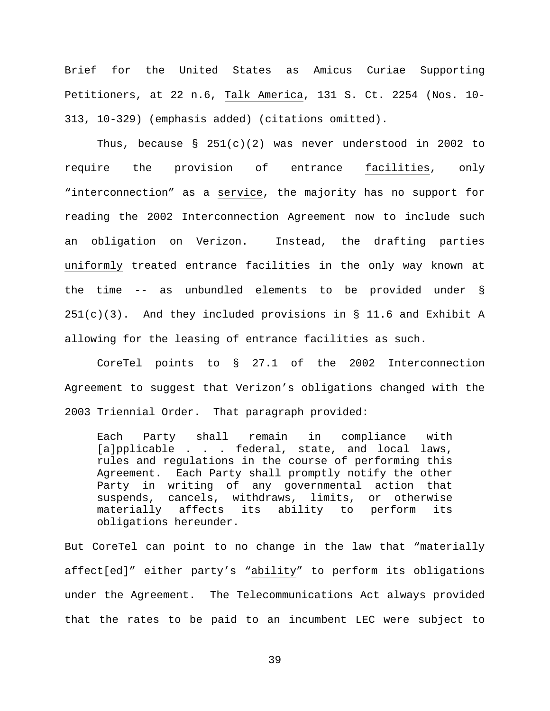Brief for the United States as Amicus Curiae Supporting Petitioners, at 22 n.6, Talk America, 131 S. Ct. 2254 (Nos. 10- 313, 10-329) (emphasis added) (citations omitted).

Thus, because §  $251(c)(2)$  was never understood in 2002 to require the provision of entrance facilities, only "interconnection" as a service, the majority has no support for reading the 2002 Interconnection Agreement now to include such an obligation on Verizon. Instead, the drafting parties uniformly treated entrance facilities in the only way known at the time -- as unbundled elements to be provided under §  $251(c)(3)$ . And they included provisions in § 11.6 and Exhibit A allowing for the leasing of entrance facilities as such.

CoreTel points to § 27.1 of the 2002 Interconnection Agreement to suggest that Verizon's obligations changed with the 2003 Triennial Order. That paragraph provided:

Each Party shall remain in compliance with [a]pplicable . . . federal, state, and local laws, rules and regulations in the course of performing this Agreement. Each Party shall promptly notify the other Party in writing of any governmental action that suspends, cancels, withdraws, limits, or otherwise materially affects its ability to perform its obligations hereunder.

But CoreTel can point to no change in the law that "materially affect[ed]" either party's "ability" to perform its obligations under the Agreement. The Telecommunications Act always provided that the rates to be paid to an incumbent LEC were subject to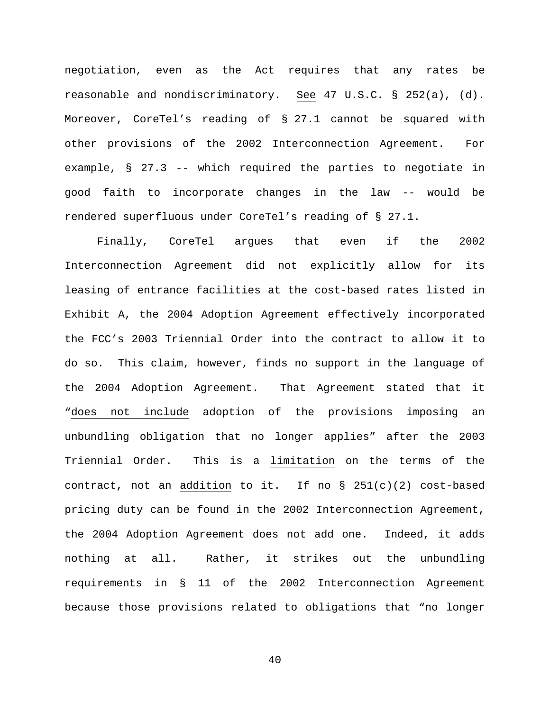negotiation, even as the Act requires that any rates be reasonable and nondiscriminatory. See 47 U.S.C. § 252(a), (d). Moreover, CoreTel's reading of § 27.1 cannot be squared with other provisions of the 2002 Interconnection Agreement. For example, § 27.3 -- which required the parties to negotiate in good faith to incorporate changes in the law -- would be rendered superfluous under CoreTel's reading of § 27.1.

Finally, CoreTel argues that even if the 2002 Interconnection Agreement did not explicitly allow for its leasing of entrance facilities at the cost-based rates listed in Exhibit A, the 2004 Adoption Agreement effectively incorporated the FCC's 2003 Triennial Order into the contract to allow it to do so. This claim, however, finds no support in the language of the 2004 Adoption Agreement. That Agreement stated that it "does not include adoption of the provisions imposing an unbundling obligation that no longer applies" after the 2003 Triennial Order. This is a limitation on the terms of the contract, not an addition to it. If no  $\S$  251(c)(2) cost-based pricing duty can be found in the 2002 Interconnection Agreement, the 2004 Adoption Agreement does not add one. Indeed, it adds nothing at all. Rather, it strikes out the unbundling requirements in § 11 of the 2002 Interconnection Agreement because those provisions related to obligations that "no longer